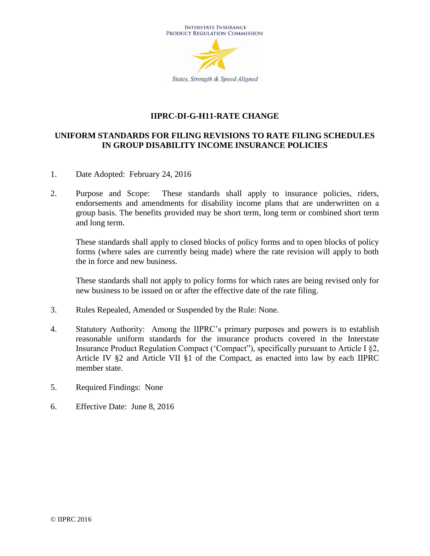

#### **IIPRC-DI-G-H11-RATE CHANGE**

#### **UNIFORM STANDARDS FOR FILING REVISIONS TO RATE FILING SCHEDULES IN GROUP DISABILITY INCOME INSURANCE POLICIES**

- 1. Date Adopted: February 24, 2016
- 2. Purpose and Scope: These standards shall apply to insurance policies, riders, endorsements and amendments for disability income plans that are underwritten on a group basis. The benefits provided may be short term, long term or combined short term and long term.

These standards shall apply to closed blocks of policy forms and to open blocks of policy forms (where sales are currently being made) where the rate revision will apply to both the in force and new business.

These standards shall not apply to policy forms for which rates are being revised only for new business to be issued on or after the effective date of the rate filing.

- 3. Rules Repealed, Amended or Suspended by the Rule: None.
- 4. Statutory Authority: Among the IIPRC's primary purposes and powers is to establish reasonable uniform standards for the insurance products covered in the Interstate Insurance Product Regulation Compact ('Compact"), specifically pursuant to Article I §2, Article IV §2 and Article VII §1 of the Compact, as enacted into law by each IIPRC member state.
- 5. Required Findings: None
- 6. Effective Date: June 8, 2016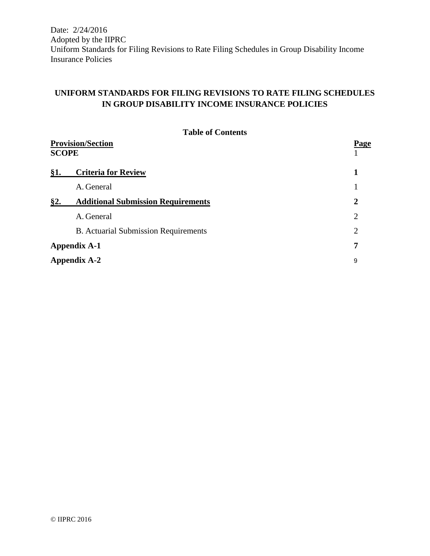# **UNIFORM STANDARDS FOR FILING REVISIONS TO RATE FILING SCHEDULES IN GROUP DISABILITY INCOME INSURANCE POLICIES**

|                                          | <b>Table of Contents</b>                    |                |  |  |
|------------------------------------------|---------------------------------------------|----------------|--|--|
| <b>Provision/Section</b><br><b>SCOPE</b> | <b>Page</b>                                 |                |  |  |
| §1.                                      | <b>Criteria for Review</b>                  | 1              |  |  |
|                                          | A. General                                  |                |  |  |
| §2.                                      | <b>Additional Submission Requirements</b>   | $\overline{2}$ |  |  |
|                                          | A. General                                  | $\overline{2}$ |  |  |
|                                          | <b>B.</b> Actuarial Submission Requirements | $\overline{2}$ |  |  |
| <b>Appendix A-1</b>                      |                                             |                |  |  |
| <b>Appendix A-2</b><br>9                 |                                             |                |  |  |
|                                          |                                             |                |  |  |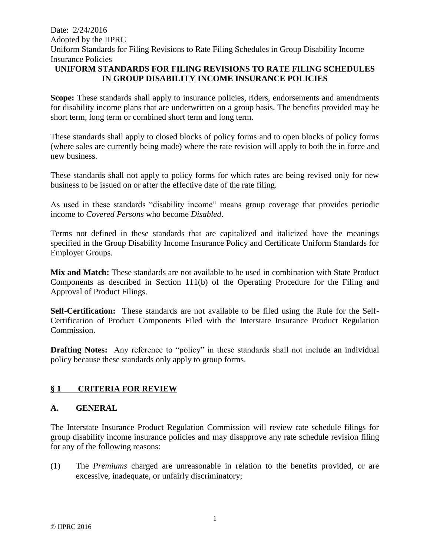#### **UNIFORM STANDARDS FOR FILING REVISIONS TO RATE FILING SCHEDULES IN GROUP DISABILITY INCOME INSURANCE POLICIES**

**Scope:** These standards shall apply to insurance policies, riders, endorsements and amendments for disability income plans that are underwritten on a group basis. The benefits provided may be short term, long term or combined short term and long term.

These standards shall apply to closed blocks of policy forms and to open blocks of policy forms (where sales are currently being made) where the rate revision will apply to both the in force and new business.

These standards shall not apply to policy forms for which rates are being revised only for new business to be issued on or after the effective date of the rate filing.

As used in these standards "disability income" means group coverage that provides periodic income to *Covered Persons* who become *Disabled*.

Terms not defined in these standards that are capitalized and italicized have the meanings specified in the Group Disability Income Insurance Policy and Certificate Uniform Standards for Employer Groups.

**Mix and Match:** These standards are not available to be used in combination with State Product Components as described in Section 111(b) of the Operating Procedure for the Filing and Approval of Product Filings.

**Self-Certification:** These standards are not available to be filed using the Rule for the Self-Certification of Product Components Filed with the Interstate Insurance Product Regulation Commission.

**Drafting Notes:** Any reference to "policy" in these standards shall not include an individual policy because these standards only apply to group forms.

#### **§ 1 CRITERIA FOR REVIEW**

#### **A. GENERAL**

The Interstate Insurance Product Regulation Commission will review rate schedule filings for group disability income insurance policies and may disapprove any rate schedule revision filing for any of the following reasons:

(1) The *Premiums* charged are unreasonable in relation to the benefits provided, or are excessive, inadequate, or unfairly discriminatory;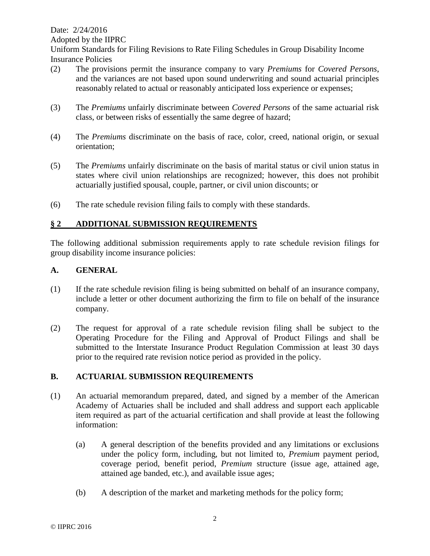Date: 2/24/2016

Adopted by the IIPRC

Uniform Standards for Filing Revisions to Rate Filing Schedules in Group Disability Income Insurance Policies

- (2) The provisions permit the insurance company to vary *Premiums* for *Covered Persons*, and the variances are not based upon sound underwriting and sound actuarial principles reasonably related to actual or reasonably anticipated loss experience or expenses;
- (3) The *Premiums* unfairly discriminate between *Covered Persons* of the same actuarial risk class, or between risks of essentially the same degree of hazard;
- (4) The *Premiums* discriminate on the basis of race, color, creed, national origin, or sexual orientation;
- (5) The *Premiums* unfairly discriminate on the basis of marital status or civil union status in states where civil union relationships are recognized; however, this does not prohibit actuarially justified spousal, couple, partner, or civil union discounts; or
- (6) The rate schedule revision filing fails to comply with these standards.

### **§ 2 ADDITIONAL SUBMISSION REQUIREMENTS**

The following additional submission requirements apply to rate schedule revision filings for group disability income insurance policies:

#### **A. GENERAL**

- (1) If the rate schedule revision filing is being submitted on behalf of an insurance company, include a letter or other document authorizing the firm to file on behalf of the insurance company.
- (2) The request for approval of a rate schedule revision filing shall be subject to the Operating Procedure for the Filing and Approval of Product Filings and shall be submitted to the Interstate Insurance Product Regulation Commission at least 30 days prior to the required rate revision notice period as provided in the policy.

## **B. ACTUARIAL SUBMISSION REQUIREMENTS**

- (1) An actuarial memorandum prepared, dated, and signed by a member of the American Academy of Actuaries shall be included and shall address and support each applicable item required as part of the actuarial certification and shall provide at least the following information:
	- (a) A general description of the benefits provided and any limitations or exclusions under the policy form, including, but not limited to, *Premium* payment period, coverage period, benefit period, *Premium* structure (issue age, attained age, attained age banded, etc.), and available issue ages;
	- (b) A description of the market and marketing methods for the policy form;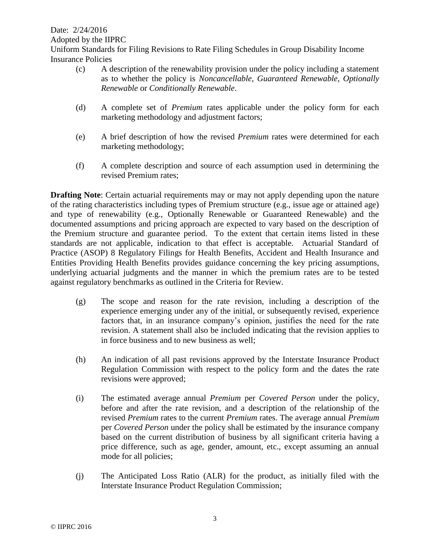- (c) A description of the renewability provision under the policy including a statement as to whether the policy is *Noncancellable*, *Guaranteed Renewable*, *Optionally Renewable* or *Conditionally Renewable*.
- (d) A complete set of *Premium* rates applicable under the policy form for each marketing methodology and adjustment factors;
- (e) A brief description of how the revised *Premium* rates were determined for each marketing methodology;
- (f) A complete description and source of each assumption used in determining the revised Premium rates;

**Drafting Note:** Certain actuarial requirements may or may not apply depending upon the nature of the rating characteristics including types of Premium structure (e.g., issue age or attained age) and type of renewability (e.g., Optionally Renewable or Guaranteed Renewable) and the documented assumptions and pricing approach are expected to vary based on the description of the Premium structure and guarantee period. To the extent that certain items listed in these standards are not applicable, indication to that effect is acceptable. Actuarial Standard of Practice (ASOP) 8 Regulatory Filings for Health Benefits, Accident and Health Insurance and Entities Providing Health Benefits provides guidance concerning the key pricing assumptions, underlying actuarial judgments and the manner in which the premium rates are to be tested against regulatory benchmarks as outlined in the Criteria for Review.

- (g) The scope and reason for the rate revision, including a description of the experience emerging under any of the initial, or subsequently revised, experience factors that, in an insurance company's opinion, justifies the need for the rate revision. A statement shall also be included indicating that the revision applies to in force business and to new business as well;
- (h) An indication of all past revisions approved by the Interstate Insurance Product Regulation Commission with respect to the policy form and the dates the rate revisions were approved;
- (i) The estimated average annual *Premium* per *Covered Person* under the policy, before and after the rate revision, and a description of the relationship of the revised *Premium* rates to the current *Premium* rates. The average annual *Premium* per *Covered Person* under the policy shall be estimated by the insurance company based on the current distribution of business by all significant criteria having a price difference, such as age, gender, amount, etc., except assuming an annual mode for all policies;
- (j) The Anticipated Loss Ratio (ALR) for the product, as initially filed with the Interstate Insurance Product Regulation Commission;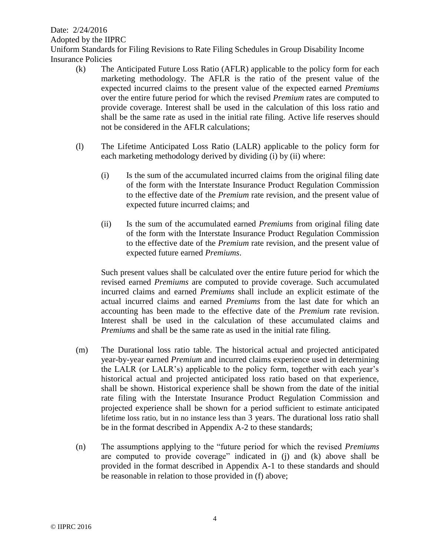Date: 2/24/2016

Adopted by the IIPRC

Uniform Standards for Filing Revisions to Rate Filing Schedules in Group Disability Income Insurance Policies

- (k) The Anticipated Future Loss Ratio (AFLR) applicable to the policy form for each marketing methodology. The AFLR is the ratio of the present value of the expected incurred claims to the present value of the expected earned *Premiums* over the entire future period for which the revised *Premium* rates are computed to provide coverage. Interest shall be used in the calculation of this loss ratio and shall be the same rate as used in the initial rate filing. Active life reserves should not be considered in the AFLR calculations;
- (l) The Lifetime Anticipated Loss Ratio (LALR) applicable to the policy form for each marketing methodology derived by dividing (i) by (ii) where:
	- (i) Is the sum of the accumulated incurred claims from the original filing date of the form with the Interstate Insurance Product Regulation Commission to the effective date of the *Premium* rate revision, and the present value of expected future incurred claims; and
	- (ii) Is the sum of the accumulated earned *Premiums* from original filing date of the form with the Interstate Insurance Product Regulation Commission to the effective date of the *Premium* rate revision, and the present value of expected future earned *Premiums*.

Such present values shall be calculated over the entire future period for which the revised earned *Premiums* are computed to provide coverage. Such accumulated incurred claims and earned *Premiums* shall include an explicit estimate of the actual incurred claims and earned *Premiums* from the last date for which an accounting has been made to the effective date of the *Premium* rate revision. Interest shall be used in the calculation of these accumulated claims and *Premiums* and shall be the same rate as used in the initial rate filing.

- (m) The Durational loss ratio table. The historical actual and projected anticipated year-by-year earned *Premium* and incurred claims experience used in determining the LALR (or LALR's) applicable to the policy form, together with each year's historical actual and projected anticipated loss ratio based on that experience, shall be shown. Historical experience shall be shown from the date of the initial rate filing with the Interstate Insurance Product Regulation Commission and projected experience shall be shown for a period sufficient to estimate anticipated lifetime loss ratio, but in no instance less than 3 years. The durational loss ratio shall be in the format described in Appendix A-2 to these standards;
- (n) The assumptions applying to the "future period for which the revised *Premiums* are computed to provide coverage" indicated in (j) and (k) above shall be provided in the format described in Appendix A-1 to these standards and should be reasonable in relation to those provided in (f) above;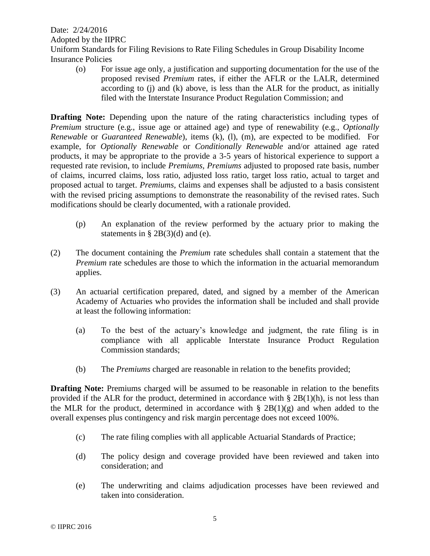(o) For issue age only, a justification and supporting documentation for the use of the proposed revised *Premium* rates, if either the AFLR or the LALR, determined according to  $(i)$  and  $(k)$  above, is less than the ALR for the product, as initially filed with the Interstate Insurance Product Regulation Commission; and

**Drafting Note:** Depending upon the nature of the rating characteristics including types of *Premium* structure (e.g., issue age or attained age) and type of renewability (e.g., *Optionally Renewable* or *Guaranteed Renewable*), items (k), (l), (m), are expected to be modified. For example, for *Optionally Renewable* or *Conditionally Renewable* and/or attained age rated products, it may be appropriate to the provide a 3-5 years of historical experience to support a requested rate revision, to include *Premiums, Premiums* adjusted to proposed rate basis, number of claims, incurred claims, loss ratio, adjusted loss ratio, target loss ratio, actual to target and proposed actual to target. *Premiums,* claims and expenses shall be adjusted to a basis consistent with the revised pricing assumptions to demonstrate the reasonability of the revised rates. Such modifications should be clearly documented, with a rationale provided.

- (p) An explanation of the review performed by the actuary prior to making the statements in §  $2B(3)(d)$  and (e).
- (2) The document containing the *Premium* rate schedules shall contain a statement that the *Premium* rate schedules are those to which the information in the actuarial memorandum applies.
- (3) An actuarial certification prepared, dated, and signed by a member of the American Academy of Actuaries who provides the information shall be included and shall provide at least the following information:
	- (a) To the best of the actuary's knowledge and judgment, the rate filing is in compliance with all applicable Interstate Insurance Product Regulation Commission standards;
	- (b) The *Premiums* charged are reasonable in relation to the benefits provided;

**Drafting Note:** Premiums charged will be assumed to be reasonable in relation to the benefits provided if the ALR for the product, determined in accordance with  $\S 2B(1)(h)$ , is not less than the MLR for the product, determined in accordance with  $\S 2B(1)(g)$  and when added to the overall expenses plus contingency and risk margin percentage does not exceed 100%.

- (c) The rate filing complies with all applicable Actuarial Standards of Practice;
- (d) The policy design and coverage provided have been reviewed and taken into consideration; and
- (e) The underwriting and claims adjudication processes have been reviewed and taken into consideration.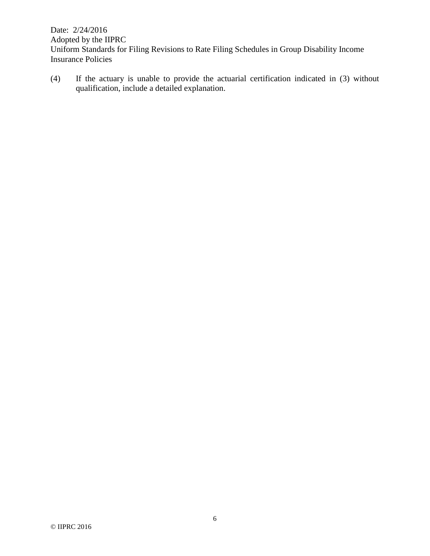(4) If the actuary is unable to provide the actuarial certification indicated in (3) without qualification, include a detailed explanation.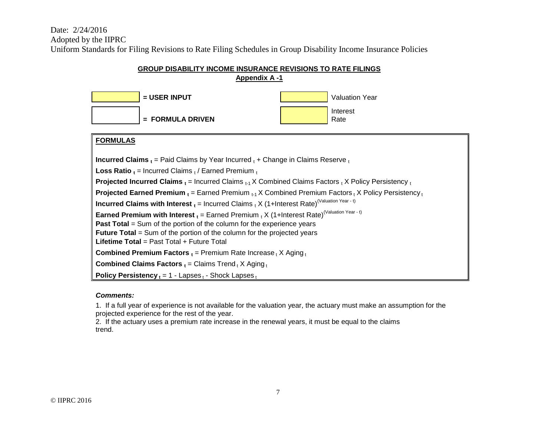Date: 2/24/2016 Adopted by the IIPRC

Uniform Standards for Filing Revisions to Rate Filing Schedules in Group Disability Income Insurance Policies

# **Appendix A -1 EXER INPUT EXERGATION CONTROL = FORMULA DRIVEN** Interest Rate **FORMULAS Incurred Claims**  $_{t}$  = Paid Claims by Year Incurred  $_{t}$  + Change in Claims Reserve  $_{t}$ **Loss Ratio t** = Incurred Claims t / Earned Premium t **Projected Incurred Claims**  $_t$  **= Incurred Claims**  $_{t-1}$  **X Combined Claims Factors**  $_t$  **X Policy Persistency**  $_t$ **Projected Earned Premium**  $_{t}$  **= Earned Premium**  $_{t-1}$  **X Combined Premium Factors <sub>t</sub> X Policy Persistency to Incurred Claims with Interest**  $_{t}$  = Incurred Claims  $_{t}$  X (1+Interest Rate)<sup>(Valuation Year - t)</sup> **Earned Premium with Interest**  $_{t}$  = Earned Premium  $_{t}$  X (1+Interest Rate)<sup>(Valuation Year - t)</sup> **Past Total** = Sum of the portion of the column for the experience years **Future Total** = Sum of the portion of the column for the projected years **Lifetime Total** = Past Total + Future Total **Combined Premium Factors**  $_t$  = Premium Rate Increase  $_t$  X Aging  $_t$ **Combined Claims Factors**  $_t =$  **Claims Trend**  $_t$  **X Aging**  $_t$ **Policy Persistency**  $t = 1 - \text{Lapses}_{t}$  - Shock Lapses  $t$

#### **GROUP DISABILITY INCOME INSURANCE REVISIONS TO RATE FILINGS**

*Comments:*

1. If a full year of experience is not available for the valuation year, the actuary must make an assumption for the projected experience for the rest of the year.

2. If the actuary uses a premium rate increase in the renewal years, it must be equal to the claims trend.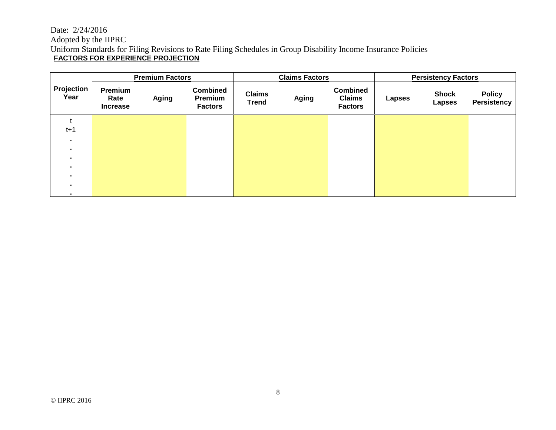#### Date: 2/24/2016 Adopted by the IIPRC Uniform Standards for Filing Revisions to Rate Filing Schedules in Group Disability Income Insurance Policies **FACTORS FOR EXPERIENCE PROJECTION**

|                        | <b>Premium Factors</b>             |       |                                              |                               | <b>Claims Factors</b> |                                                    | <b>Persistency Factors</b> |                               |                                     |
|------------------------|------------------------------------|-------|----------------------------------------------|-------------------------------|-----------------------|----------------------------------------------------|----------------------------|-------------------------------|-------------------------------------|
| Projection<br>Year     | Premium<br>Rate<br><b>Increase</b> | Aging | <b>Combined</b><br>Premium<br><b>Factors</b> | <b>Claims</b><br><b>Trend</b> | <b>Aging</b>          | <b>Combined</b><br><b>Claims</b><br><b>Factors</b> | <b>Lapses</b>              | <b>Shock</b><br><b>Lapses</b> | <b>Policy</b><br><b>Persistency</b> |
|                        |                                    |       |                                              |                               |                       |                                                    |                            |                               |                                     |
| $t+1$                  |                                    |       |                                              |                               |                       |                                                    |                            |                               |                                     |
| ٠.                     |                                    |       |                                              |                               |                       |                                                    |                            |                               |                                     |
| ٠.                     |                                    |       |                                              |                               |                       |                                                    |                            |                               |                                     |
| ٠.                     |                                    |       |                                              |                               |                       |                                                    |                            |                               |                                     |
| ٠.                     |                                    |       |                                              |                               |                       |                                                    |                            |                               |                                     |
| $\blacksquare$         |                                    |       |                                              |                               |                       |                                                    |                            |                               |                                     |
| $\bullet$<br>$\bullet$ |                                    |       |                                              |                               |                       |                                                    |                            |                               |                                     |